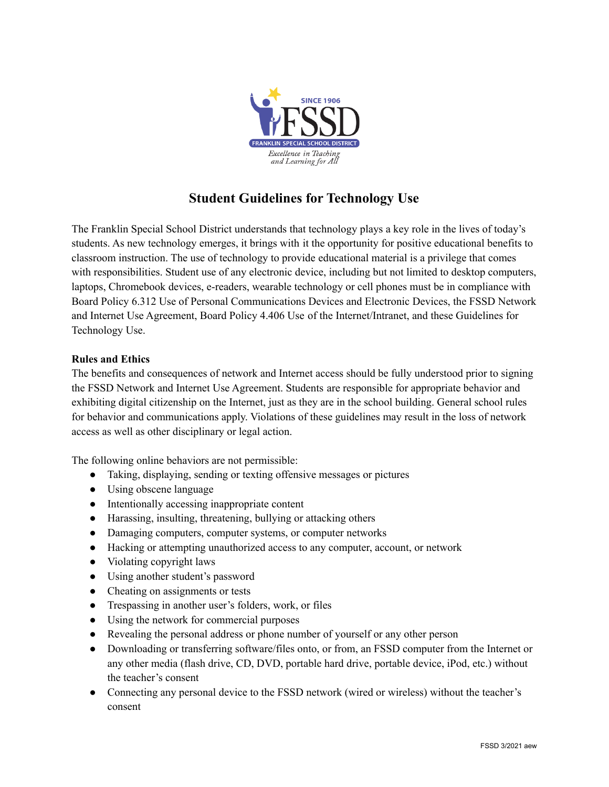

## **Student Guidelines for Technology Use**

The Franklin Special School District understands that technology plays a key role in the lives of today's students. As new technology emerges, it brings with it the opportunity for positive educational benefits to classroom instruction. The use of technology to provide educational material is a privilege that comes with responsibilities. Student use of any electronic device, including but not limited to desktop computers, laptops, Chromebook devices, e-readers, wearable technology or cell phones must be in compliance with Board Policy 6.312 Use of Personal Communications Devices and Electronic Devices, the FSSD Network and Internet Use Agreement, Board Policy 4.406 Use of the Internet/Intranet, and these Guidelines for Technology Use.

## **Rules and Ethics**

The benefits and consequences of network and Internet access should be fully understood prior to signing the FSSD Network and Internet Use Agreement. Students are responsible for appropriate behavior and exhibiting digital citizenship on the Internet, just as they are in the school building. General school rules for behavior and communications apply. Violations of these guidelines may result in the loss of network access as well as other disciplinary or legal action.

The following online behaviors are not permissible:

- Taking, displaying, sending or texting offensive messages or pictures
- Using obscene language
- Intentionally accessing inappropriate content
- Harassing, insulting, threatening, bullying or attacking others
- Damaging computers, computer systems, or computer networks
- Hacking or attempting unauthorized access to any computer, account, or network
- Violating copyright laws
- Using another student's password
- Cheating on assignments or tests
- Trespassing in another user's folders, work, or files
- Using the network for commercial purposes
- Revealing the personal address or phone number of yourself or any other person
- Downloading or transferring software/files onto, or from, an FSSD computer from the Internet or any other media (flash drive, CD, DVD, portable hard drive, portable device, iPod, etc.) without the teacher's consent
- Connecting any personal device to the FSSD network (wired or wireless) without the teacher's consent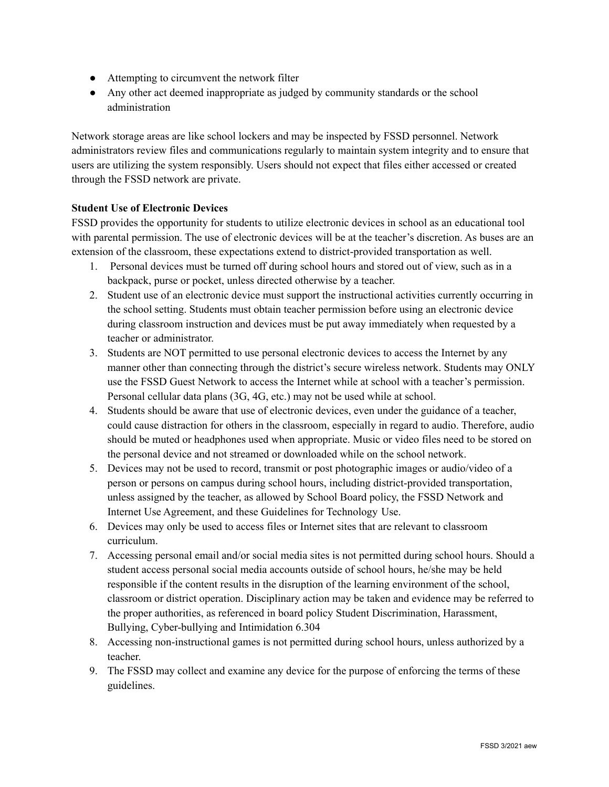- Attempting to circumvent the network filter
- Any other act deemed inappropriate as judged by community standards or the school administration

Network storage areas are like school lockers and may be inspected by FSSD personnel. Network administrators review files and communications regularly to maintain system integrity and to ensure that users are utilizing the system responsibly. Users should not expect that files either accessed or created through the FSSD network are private.

## **Student Use of Electronic Devices**

FSSD provides the opportunity for students to utilize electronic devices in school as an educational tool with parental permission. The use of electronic devices will be at the teacher's discretion. As buses are an extension of the classroom, these expectations extend to district-provided transportation as well.

- 1. Personal devices must be turned off during school hours and stored out of view, such as in a backpack, purse or pocket, unless directed otherwise by a teacher.
- 2. Student use of an electronic device must support the instructional activities currently occurring in the school setting. Students must obtain teacher permission before using an electronic device during classroom instruction and devices must be put away immediately when requested by a teacher or administrator.
- 3. Students are NOT permitted to use personal electronic devices to access the Internet by any manner other than connecting through the district's secure wireless network. Students may ONLY use the FSSD Guest Network to access the Internet while at school with a teacher's permission. Personal cellular data plans (3G, 4G, etc.) may not be used while at school.
- 4. Students should be aware that use of electronic devices, even under the guidance of a teacher, could cause distraction for others in the classroom, especially in regard to audio. Therefore, audio should be muted or headphones used when appropriate. Music or video files need to be stored on the personal device and not streamed or downloaded while on the school network.
- 5. Devices may not be used to record, transmit or post photographic images or audio/video of a person or persons on campus during school hours, including district-provided transportation, unless assigned by the teacher, as allowed by School Board policy, the FSSD Network and Internet Use Agreement, and these Guidelines for Technology Use.
- 6. Devices may only be used to access files or Internet sites that are relevant to classroom curriculum.
- 7. Accessing personal email and/or social media sites is not permitted during school hours. Should a student access personal social media accounts outside of school hours, he/she may be held responsible if the content results in the disruption of the learning environment of the school, classroom or district operation. Disciplinary action may be taken and evidence may be referred to the proper authorities, as referenced in board policy Student Discrimination, Harassment, Bullying, Cyber-bullying and Intimidation 6.304
- 8. Accessing non-instructional games is not permitted during school hours, unless authorized by a teacher.
- 9. The FSSD may collect and examine any device for the purpose of enforcing the terms of these guidelines.